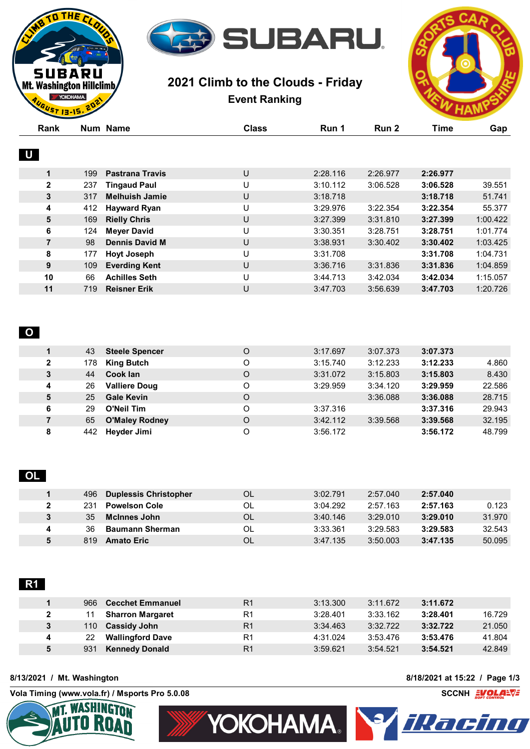

# **2021 Climb to the Clouds - Friday Event Ranking**



|                   | GUST 13-15.20 |                              |                |          |                  |             |          |
|-------------------|---------------|------------------------------|----------------|----------|------------------|-------------|----------|
| Rank              |               | <b>Num Name</b>              | <b>Class</b>   | Run 1    | Run <sub>2</sub> | <b>Time</b> | Gap      |
| $\cup$            |               |                              |                |          |                  |             |          |
| 1                 | 199           | <b>Pastrana Travis</b>       | $\cup$         | 2:28.116 | 2:26.977         | 2:26.977    |          |
| $\mathbf 2$       | 237           | <b>Tingaud Paul</b>          | U              | 3:10.112 | 3:06.528         | 3:06.528    | 39.551   |
| 3                 | 317           | <b>Melhuish Jamie</b>        | U              | 3:18.718 |                  | 3:18.718    | 51.741   |
| 4                 | 412           | <b>Hayward Ryan</b>          | U              | 3:29.976 | 3:22.354         | 3:22.354    | 55.377   |
| 5                 | 169           | <b>Rielly Chris</b>          | $\cup$         | 3:27.399 | 3:31.810         | 3:27.399    | 1:00.422 |
| 6                 | 124           | <b>Meyer David</b>           | U              | 3:30.351 | 3:28.751         | 3:28.751    | 1:01.774 |
| $\overline{7}$    | 98            | <b>Dennis David M</b>        | $\sf U$        | 3:38.931 | 3:30.402         | 3:30.402    | 1:03.425 |
| 8                 | 177           | <b>Hoyt Joseph</b>           | U              | 3:31.708 |                  | 3:31.708    | 1:04.731 |
| 9                 | 109           | <b>Everding Kent</b>         | U              | 3:36.716 | 3:31.836         | 3:31.836    | 1:04.859 |
| 10                | 66            | <b>Achilles Seth</b>         | U              | 3:44.713 | 3:42.034         | 3:42.034    | 1:15.057 |
| 11                | 719           | <b>Reisner Erik</b>          | U              | 3:47.703 | 3:56.639         | 3:47.703    | 1:20.726 |
| $\mathbf{o}$<br>1 | 43            | <b>Steele Spencer</b>        | $\mathsf O$    | 3:17.697 | 3:07.373         | 3:07.373    |          |
| $\mathbf 2$       | 178           | <b>King Butch</b>            | $\circ$        | 3:15.740 | 3:12.233         | 3:12.233    | 4.860    |
| 3                 | 44            | <b>Cook lan</b>              | $\circ$        | 3:31.072 | 3:15.803         | 3:15.803    | 8.430    |
| 4                 | 26            | <b>Valliere Doug</b>         | $\mathsf O$    | 3:29.959 | 3:34.120         | 3:29.959    | 22.586   |
| 5                 | 25            | <b>Gale Kevin</b>            | $\mathsf O$    |          | 3:36.088         | 3:36.088    | 28.715   |
| 6                 | 29            | <b>O'Neil Tim</b>            | $\circ$        | 3:37.316 |                  | 3:37.316    | 29.943   |
| $\overline{7}$    | 65            | <b>O'Maley Rodney</b>        | $\mathsf O$    | 3:42.112 | 3:39.568         | 3:39.568    | 32.195   |
| 8                 | 442           | Heyder Jimi                  | $\circ$        | 3:56.172 |                  | 3:56.172    | 48.799   |
| OL                |               |                              |                |          |                  |             |          |
| 1                 | 496           | <b>Duplessis Christopher</b> | OL             | 3:02.791 | 2:57.040         | 2:57.040    |          |
| 2                 | 231           | <b>Powelson Cole</b>         | OL             | 3:04.292 | 2:57.163         | 2:57.163    | 0.123    |
| 3                 | 35            | <b>McInnes John</b>          | OL             | 3:40.146 | 3:29.010         | 3:29.010    | 31.970   |
| 4                 | 36            | <b>Baumann Sherman</b>       | OL             | 3:33.361 | 3:29.583         | 3:29.583    | 32.543   |
| 5                 | 819           | <b>Amato Eric</b>            | OL             | 3:47.135 | 3:50.003         | 3:47.135    | 50.095   |
|                   |               |                              |                |          |                  |             |          |
| R1<br>1           | 966           | <b>Cecchet Emmanuel</b>      | R <sub>1</sub> | 3:13.300 | 3:11.672         | 3:11.672    |          |

|   | 900- | <b>Cecchet Emmanuel</b> | Г. | <u>3.13.300</u> | 3.11.072 | 3.11.072 |        |
|---|------|-------------------------|----|-----------------|----------|----------|--------|
|   |      | <b>Sharron Margaret</b> | R1 | 3:28.401        | 3:33.162 | 3:28.401 | 16.729 |
|   | 110  | <b>Cassidy John</b>     | R1 | 3:34.463        | 3:32.722 | 3:32.722 | 21.050 |
|   | 22   | <b>Wallingford Dave</b> | R1 | 4:31.024        | 3:53.476 | 3:53.476 | 41.804 |
| 5 | 931  | <b>Kennedy Donald</b>   | R1 | 3:59.621        | 3:54.521 | 3:54.521 | 42.849 |

#### **8/13/2021 / Mt. Washington 8/18/2021 at 15:22 / Page 1/3**

THE<sub>C</sub>

**SUBARU** Mt. Washington Hillclimb YOKOHAMA.

**Vola Timing (www.vola.fr) / Msports Pro 5.0.08 SCCNH SCCNH SCCNH** 



YOKOHAMA. Y *HRanding* 

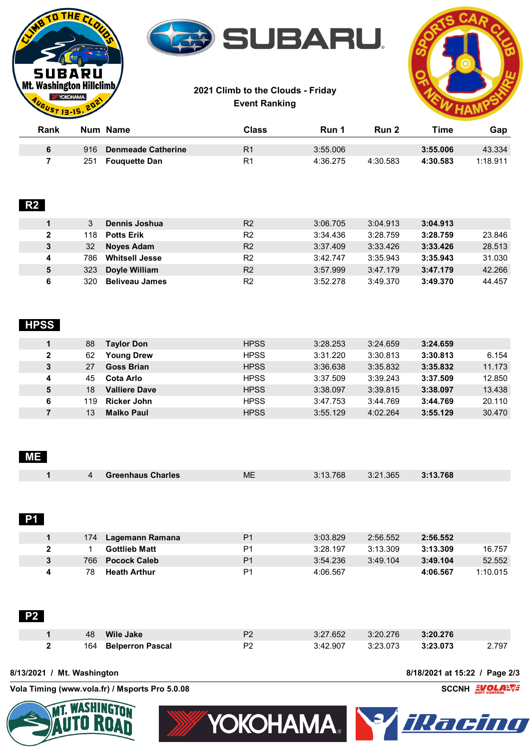







| Rank |     | Num Name                  | Class          | Run 1    | Run 2    | Time     | Gap      |
|------|-----|---------------------------|----------------|----------|----------|----------|----------|
|      | 916 | <b>Denmeade Catherine</b> | R <sub>1</sub> | 3:55.006 |          | 3:55.006 | 43.334   |
|      | 251 | Fouguette Dan             | R1             | 4:36.275 | 4:30.583 | 4:30.583 | 1:18.911 |

## **R2**

|              |     | Dennis Joshua         | R <sub>2</sub> | 3:06.705 | 3:04.913 | 3:04.913 |        |
|--------------|-----|-----------------------|----------------|----------|----------|----------|--------|
| $\mathbf{2}$ | 118 | <b>Potts Erik</b>     | R <sub>2</sub> | 3:34.436 | 3:28.759 | 3:28.759 | 23.846 |
| $\mathbf{3}$ | 32  | <b>Noyes Adam</b>     | R <sub>2</sub> | 3:37.409 | 3:33.426 | 3:33.426 | 28.513 |
| 4            | 786 | <b>Whitsell Jesse</b> | R <sub>2</sub> | 3:42.747 | 3:35.943 | 3:35.943 | 31.030 |
| 5            | 323 | Doyle William         | R <sub>2</sub> | 3:57.999 | 3:47.179 | 3:47.179 | 42.266 |
|              | 320 | <b>Beliveau James</b> | R <sub>2</sub> | 3:52.278 | 3:49.370 | 3:49.370 | 44.457 |

### **HPSS**

|              | 88  | <b>Taylor Don</b>    | <b>HPSS</b> | 3:28.253 | 3:24.659 | 3:24.659 |        |
|--------------|-----|----------------------|-------------|----------|----------|----------|--------|
| $\mathbf{2}$ | 62  | <b>Young Drew</b>    | <b>HPSS</b> | 3:31.220 | 3:30.813 | 3:30.813 | 6.154  |
| 3            | 27  | <b>Goss Brian</b>    | <b>HPSS</b> | 3:36.638 | 3:35.832 | 3:35.832 | 11.173 |
| 4            | 45  | Cota Arlo            | <b>HPSS</b> | 3:37.509 | 3:39.243 | 3:37.509 | 12.850 |
| 5            | 18  | <b>Valliere Dave</b> | <b>HPSS</b> | 3:38.097 | 3:39.815 | 3:38.097 | 13.438 |
| 6            | 119 | Ricker John          | <b>HPSS</b> | 3:47.753 | 3:44.769 | 3:44.769 | 20.110 |
|              | 13  | <b>Malko Paul</b>    | <b>HPSS</b> | 3:55.129 | 4:02.264 | 3:55.129 | 30.470 |

| <b>ME</b> |     |                          |                |          |          |          |     |
|-----------|-----|--------------------------|----------------|----------|----------|----------|-----|
|           | 4   | <b>Greenhaus Charles</b> | <b>ME</b>      | 3:13.768 | 3:21.365 | 3:13.768 |     |
|           |     |                          |                |          |          |          |     |
|           |     |                          |                |          |          |          |     |
| <b>P1</b> |     |                          |                |          |          |          |     |
|           | 174 | <b>Lagemann Ramana</b>   | P <sub>1</sub> | 3:03.829 | 2:56.552 | 2:56.552 |     |
| 2         | 1   | Gottlieb Matt            | P <sub>1</sub> | 3.28197  | 3.13.309 | 3.13.309 | 167 |

|     | <b>Gottlieb Matt</b> | P1             | 3:28.197 | 3:13.309 | 3:13.309 | 16.757   |
|-----|----------------------|----------------|----------|----------|----------|----------|
| 766 | <b>Pocock Caleb</b>  | P <sub>1</sub> | 3:54.236 | 3:49.104 | 3:49.104 | 52.552   |
| 78  | <b>Heath Arthur</b>  | P <sub>1</sub> | 4:06.567 |          | 4:06.567 | 1:10.015 |

| <b>P2</b> |              |    |                      |    |          |          |          |       |
|-----------|--------------|----|----------------------|----|----------|----------|----------|-------|
|           |              | 48 | Wile Jake            | P2 | 3:27.652 | 3:20.276 | 3:20.276 |       |
|           | $\mathbf{2}$ |    | 164 Belperron Pascal | P2 | 3:42.907 | 3:23.073 | 3:23.073 | 2.797 |

**8/13/2021 / Mt. Washington 8/18/2021 at 15:22 / Page 2/3**

**Vola Timing (www.vola.fr) / Msports Pro 5.0.08 SCCNH SCCNH SCCNH** 



YOKOHAMA. YARET LILI